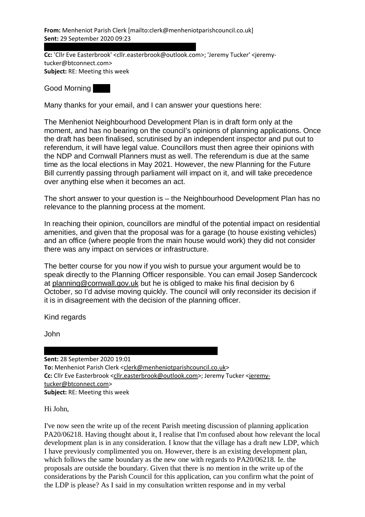From: Menheniot Parish Clerk [mailto:clerk@menheniotparishcouncil.co.uk] Sent: 29 September 2020 09:23

To: 'PETER HONEYWELL' <phoneme1@btinternet.com>

Cc: 'Cllr Eve Easterbrook' <cllr.easterbrook@outlook.com>; 'Jeremy Tucker' <jeremytucker@btconnect.com> Subject: RE: Meeting this week

Good Morning

Many thanks for your email, and I can answer your questions here:

The Menheniot Neighbourhood Development Plan is in draft form only at the moment, and has no bearing on the council's opinions of planning applications. Once the draft has been finalised, scrutinised by an independent inspector and put out to referendum, it will have legal value. Councillors must then agree their opinions with the NDP and Cornwall Planners must as well. The referendum is due at the same time as the local elections in May 2021. However, the new Planning for the Future Bill currently passing through parliament will impact on it, and will take precedence over anything else when it becomes an act.

The short answer to your question is – the Neighbourhood Development Plan has no relevance to the planning process at the moment.

In reaching their opinion, councillors are mindful of the potential impact on residential amenities, and given that the proposal was for a garage (to house existing vehicles) and an office (where people from the main house would work) they did not consider there was any impact on services or infrastructure.

The better course for you now if you wish to pursue your argument would be to speak directly to the Planning Officer responsible. You can email Josep Sandercock at planning@cornwall.gov.uk but he is obliged to make his final decision by 6 October, so I'd advise moving quickly. The council will only reconsider its decision if it is in disagreement with the decision of the planning officer.

Kind regards

John

Sent: 28 September 2020 19:01 To: Menheniot Parish Clerk <clerk@menheniotparishcouncil.co.uk> Cc: Cllr Eve Easterbrook <cllr.easterbrook@outlook.com>; Jeremy Tucker <jeremytucker@btconnect.com> Subject: RE: Meeting this week

From: PETER HONEYWELL [mailto:phoneme1@btinternet.com]

Hi John,

I've now seen the write up of the recent Parish meeting discussion of planning application PA20/06218. Having thought about it, I realise that I'm confused about how relevant the local development plan is in any consideration. I know that the village has a draft new LDP, which I have previously complimented you on. However, there is an existing development plan, which follows the same boundary as the new one with regards to PA20/06218. Ie. the proposals are outside the boundary. Given that there is no mention in the write up of the considerations by the Parish Council for this application, can you confirm what the point of the LDP is please? As I said in my consultation written response and in my verbal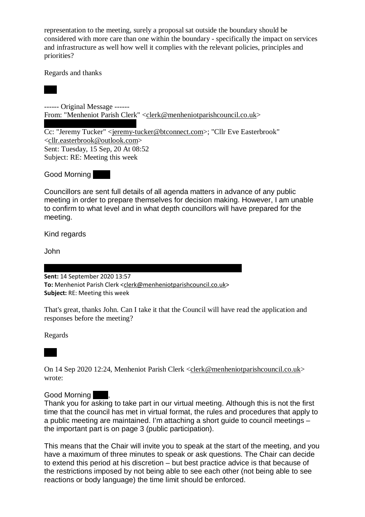representation to the meeting, surely a proposal sat outside the boundary should be considered with more care than one within the boundary - specifically the impact on services and infrastructure as well how well it complies with the relevant policies, principles and priorities?

Regards and thanks

Pete

------ Original Message ------ From: "Menheniot Parish Clerk" <clerk@menheniotparishcouncil.co.uk>

To: phoneme1@btinternet.com Cc: "Jeremy Tucker" <jeremy-tucker@btconnect.com>; "Cllr Eve Easterbrook" <cllr.easterbrook@outlook.com> Sent: Tuesday, 15 Sep, 20 At 08:52 Subject: RE: Meeting this week

Good Morning

Councillors are sent full details of all agenda matters in advance of any public meeting in order to prepare themselves for decision making. However, I am unable to confirm to what level and in what depth councillors will have prepared for the meeting.

Kind regards

John

 $\mathcal{F}_{\mathcal{F}}$  from: phonemetric phonemetric  $p$ Sent: 14 September 2020 13:57 To: Menheniot Parish Clerk <clerk@menheniotparishcouncil.co.uk> Subject: RE: Meeting this week

That's great, thanks John. Can I take it that the Council will have read the application and responses before the meeting?

Regards

Pete

On 14 Sep 2020 12:24, Menheniot Parish Clerk <clerk@menheniotparishcouncil.co.uk> wrote:

## Good Morning

Thank you for asking to take part in our virtual meeting. Although this is not the first time that the council has met in virtual format, the rules and procedures that apply to a public meeting are maintained. I'm attaching a short guide to council meetings – the important part is on page 3 (public participation).

This means that the Chair will invite you to speak at the start of the meeting, and you have a maximum of three minutes to speak or ask questions. The Chair can decide to extend this period at his discretion – but best practice advice is that because of the restrictions imposed by not being able to see each other (not being able to see reactions or body language) the time limit should be enforced.